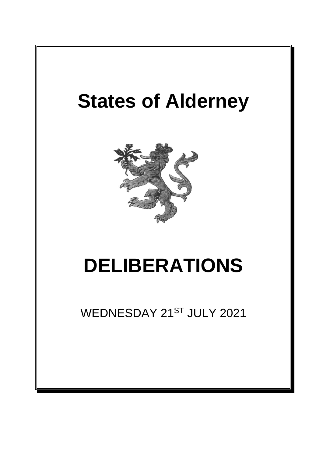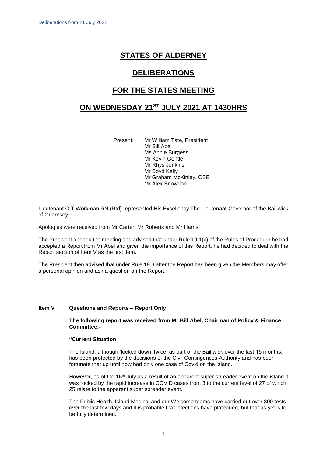# **STATES OF ALDERNEY**

## **DELIBERATIONS**

## **FOR THE STATES MEETING**

## **ON WEDNESDAY 21 ST JULY 2021 AT 1430HRS**

Present: Mr William Tate, President Mr Bill Abel Ms Annie Burgess Mr Kevin Gentle Mr Rhys Jenkins Mr Boyd Kelly Mr Graham McKinley, OBE Mr Alex Snowdon

Lieutenant G T Workman RN (Rtd) represented His Excellency The Lieutenant-Governor of the Bailiwick of Guernsey.

Apologies were received from Mr Carter, Mr Roberts and Mr Harris.

The President opened the meeting and advised that under Rule 19.1(c) of the Rules of Procedure he had accepted a Report from Mr Abel and given the importance of this Report, he had decided to deal with the Report section of Item V as the first item.

The President then advised that under Rule 19.3 after the Report has been given the Members may offer a personal opinion and ask a question on the Report.

## **Item V Questions and Reports – Report Only**

#### **The following report was received from Mr Bill Abel, Chairman of Policy & Finance Committee:-**

#### **"Current Situation**

The Island, although 'locked down' twice, as part of the Bailiwick over the last 15 months, has been protected by the decisions of the Civil Contingences Authority and has been fortunate that up until now had only one case of Covid on the Island.

However, as of the 16<sup>th</sup> July as a result of an apparent super spreader event on the island it was rocked by the rapid increase in COVID cases from 3 to the current level of 27 of which 25 relate to the apparent super spreader event.

The Public Health, Island Medical and our Welcome teams have carried out over 800 tests over the last few days and it is probable that infections have plateaued, but that as yet is to be fully determined.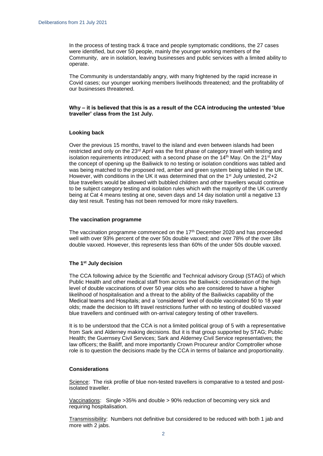In the process of testing track & trace and people symptomatic conditions, the 27 cases were identified, but over 50 people, mainly the younger working members of the Community, are in isolation, leaving businesses and public services with a limited ability to operate.

The Community is understandably angry, with many frightened by the rapid increase in Covid cases; our younger working members livelihoods threatened; and the profitability of our businesses threatened.

#### **Why – it is believed that this is as a result of the CCA introducing the untested 'blue traveller' class from the 1st July.**

#### **Looking back**

Over the previous 15 months, travel to the island and even between islands had been restricted and only on the 23rd April was the first phase of category travel with testing and isolation requirements introduced; with a second phase on the  $14<sup>th</sup>$  May. On the  $21<sup>st</sup>$  May the concept of opening up the Bailiwick to no testing or isolation conditions was tabled and was being matched to the proposed red, amber and green system being tabled in the UK. However, with conditions in the UK it was determined that on the 1<sup>st</sup> July untested,  $2+2$ blue travellers would be allowed with bubbled children and other travellers would continue to be subject category testing and isolation rules which with the majority of the UK currently being at Cat 4 means testing at one, seven days and 14 day isolation until a negative 13 day test result. Testing has not been removed for more risky travellers.

#### **The vaccination programme**

The vaccination programme commenced on the 17th December 2020 and has proceeded well with over 93% percent of the over 50s double vaxxed; and over 78% of the over 18s double vaxxed. However, this represents less than 60% of the under 50s double vaxxed.

#### **The 1st July decision**

The CCA following advice by the Scientific and Technical advisory Group (STAG) of which Public Health and other medical staff from across the Bailiwick; consideration of the high level of double vaccinations of over 50 year olds who are considered to have a higher likelihood of hospitalisation and a threat to the ability of the Bailiwicks capability of the Medical teams and Hospitals; and a 'considered' level of double vaccinated 50 to 18 year olds; made the decision to lift travel restrictions further with no testing of doubled vaxxed blue travellers and continued with on-arrival category testing of other travellers.

It is to be understood that the CCA is not a limited political group of 5 with a representative from Sark and Alderney making decisions. But it is that group supported by STAG; Public Health; the Guernsey Civil Services; Sark and Alderney Civil Service representatives; the law officers; the Bailiff, and more importantly Crown Procureur and/or Comptroller whose role is to question the decisions made by the CCA in terms of balance and proportionality.

#### **Considerations**

Science: The risk profile of blue non-tested travellers is comparative to a tested and postisolated traveller.

Vaccinations: Single >35% and double > 90% reduction of becoming very sick and requiring hospitalisation.

Transmissibility: Numbers not definitive but considered to be reduced with both 1 jab and more with 2 jabs.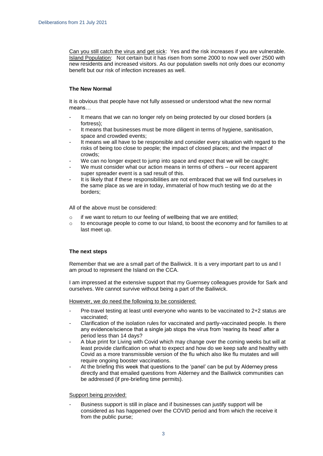Can you still catch the virus and get sick: Yes and the risk increases if you are vulnerable. Island Population: Not certain but it has risen from some 2000 to now well over 2500 with new residents and increased visitors. As our population swells not only does our economy benefit but our risk of infection increases as well.

## **The New Normal**

It is obvious that people have not fully assessed or understood what the new normal means…

- It means that we can no longer rely on being protected by our closed borders (a fortress);
- It means that businesses must be more diligent in terms of hygiene, sanitisation, space and crowded events;
- It means we all have to be responsible and consider every situation with regard to the risks of being too close to people; the impact of closed places; and the impact of crowds;
- We can no longer expect to jump into space and expect that we will be caught;
- We must consider what our action means in terms of others our recent apparent super spreader event is a sad result of this.
- It is likely that if these responsibilities are not embraced that we will find ourselves in the same place as we are in today, immaterial of how much testing we do at the borders;

All of the above must be considered:

- o if we want to return to our feeling of wellbeing that we are entitled;
- $\circ$  to encourage people to come to our Island, to boost the economy and for families to at last meet up.

## **The next steps**

Remember that we are a small part of the Bailiwick. It is a very important part to us and I am proud to represent the Island on the CCA.

I am impressed at the extensive support that my Guernsey colleagues provide for Sark and ourselves. We cannot survive without being a part of the Bailiwick.

However, we do need the following to be considered:

- Pre-travel testing at least until everyone who wants to be vaccinated to 2+2 status are vaccinated;
- Clarification of the isolation rules for vaccinated and partly-vaccinated people. Is there any evidence/science that a single jab stops the virus from 'rearing its head' after a period less than 14 days?
- A blue print for Living with Covid which may change over the coming weeks but will at least provide clarification on what to expect and how do we keep safe and healthy with Covid as a more transmissible version of the flu which also like flu mutates and will require ongoing booster vaccinations.
- At the briefing this week that questions to the 'panel' can be put by Alderney press directly and that emailed questions from Alderney and the Bailiwick communities can be addressed (if pre-briefing time permits).

#### Support being provided:

Business support is still in place and if businesses can justify support will be considered as has happened over the COVID period and from which the receive it from the public purse;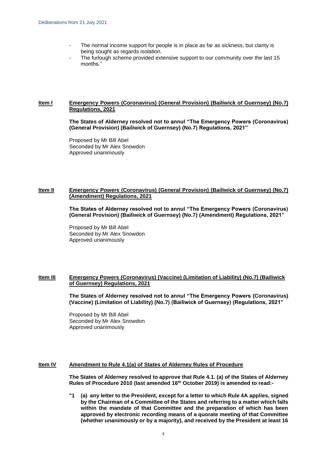- The normal income support for people is in place as far as sickness, but clarity is being sought as regards isolation.
- The furlough scheme provided extensive support to our community over the last 15 months."

### **Item I Emergency Powers (Coronavirus) (General Provision) (Bailiwick of Guernsey) (No.7) Regulations, 2021**

**The States of Alderney resolved not to annul "The Emergency Powers (Coronavirus) (General Provision) (Bailiwick of Guernsey) (No.7) Regulations, 2021"**

Proposed by Mr Bill Abel Seconded by Mr Alex Snowdon Approved unanimously

#### **Item II Emergency Powers (Coronavirus) (General Provision) (Bailiwick of Guernsey) (No.7) (Amendment) Regulations, 2021**

**The States of Alderney resolved not to annul "The Emergency Powers (Coronavirus) (General Provision) (Bailiwick of Guernsey) (No.7) (Amendment) Regulations, 2021"**

Proposed by Mr Bill Abel Seconded by Mr Alex Snowdon Approved unanimously

#### **Item III Emergency Powers (Coronavirus) (Vaccine) (Limitation of Liability) (No.7) (Bailiwick of Guernsey) Regulations, 2021**

**The States of Alderney resolved not to annul "The Emergency Powers (Coronavirus) (Vaccine) (Limitation of Liability) (No.7) (Bailiwick of Guernsey) (Regulations, 2021"**

Proposed by Mr Bill Abel Seconded by Mr Alex Snowdon Approved unanimously

#### **Item IV Amendment to Rule 4.1(a) of States of Alderney Rules of Procedure**

**The States of Alderney resolved to approve that Rule 4.1. (a) of the States of Alderney Rules of Procedure 2010 (last amended 16th October 2019) is amended to read:-**

**"1 (a) any letter to the President, except for a letter to which Rule 4A applies, signed by the Chairman of a Committee of the States and referring to a matter which falls within the mandate of that Committee and the preparation of which has been approved by electronic recording means of a quorate meeting of that Committee (whether unanimously or by a majority), and received by the President at least 16**